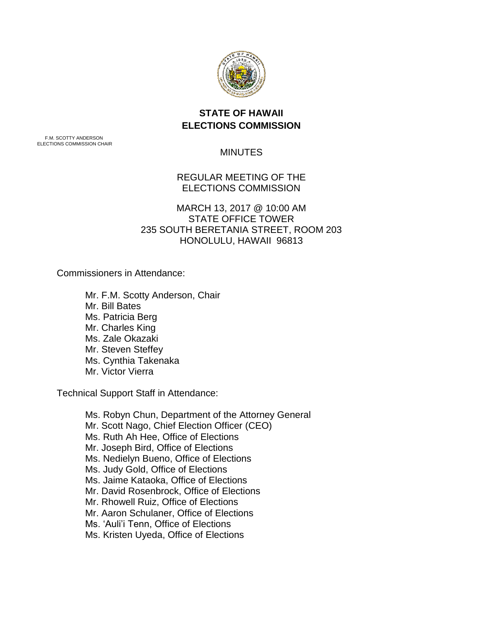

## **STATE OF HAWAII ELECTIONS COMMISSION**

F.M. SCOTTY ANDERSON ELECTIONS COMMISSION CHAIR

MINUTES

REGULAR MEETING OF THE ELECTIONS COMMISSION

MARCH 13, 2017 @ 10:00 AM STATE OFFICE TOWER 235 SOUTH BERETANIA STREET, ROOM 203 HONOLULU, HAWAII 96813

Commissioners in Attendance:

Mr. F.M. Scotty Anderson, Chair Mr. Bill Bates Ms. Patricia Berg Mr. Charles King Ms. Zale Okazaki Mr. Steven Steffey Ms. Cynthia Takenaka Mr. Victor Vierra

Technical Support Staff in Attendance:

Ms. Robyn Chun, Department of the Attorney General Mr. Scott Nago, Chief Election Officer (CEO) Ms. Ruth Ah Hee, Office of Elections Mr. Joseph Bird, Office of Elections Ms. Nedielyn Bueno, Office of Elections Ms. Judy Gold, Office of Elections Ms. Jaime Kataoka, Office of Elections Mr. David Rosenbrock, Office of Elections Mr. Rhowell Ruiz, Office of Elections Mr. Aaron Schulaner, Office of Elections Ms. 'Auli'i Tenn, Office of Elections Ms. Kristen Uyeda, Office of Elections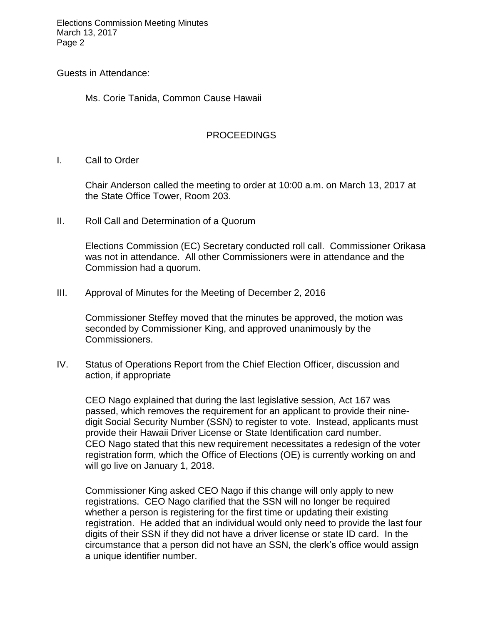Elections Commission Meeting Minutes March 13, 2017 Page 2

Guests in Attendance:

Ms. Corie Tanida, Common Cause Hawaii

## PROCEEDINGS

I. Call to Order

Chair Anderson called the meeting to order at 10:00 a.m. on March 13, 2017 at the State Office Tower, Room 203.

II. Roll Call and Determination of a Quorum

Elections Commission (EC) Secretary conducted roll call. Commissioner Orikasa was not in attendance. All other Commissioners were in attendance and the Commission had a quorum.

III. Approval of Minutes for the Meeting of December 2, 2016

Commissioner Steffey moved that the minutes be approved, the motion was seconded by Commissioner King, and approved unanimously by the Commissioners.

IV. Status of Operations Report from the Chief Election Officer, discussion and action, if appropriate

CEO Nago explained that during the last legislative session, Act 167 was passed, which removes the requirement for an applicant to provide their ninedigit Social Security Number (SSN) to register to vote. Instead, applicants must provide their Hawaii Driver License or State Identification card number. CEO Nago stated that this new requirement necessitates a redesign of the voter registration form, which the Office of Elections (OE) is currently working on and will go live on January 1, 2018.

Commissioner King asked CEO Nago if this change will only apply to new registrations. CEO Nago clarified that the SSN will no longer be required whether a person is registering for the first time or updating their existing registration. He added that an individual would only need to provide the last four digits of their SSN if they did not have a driver license or state ID card. In the circumstance that a person did not have an SSN, the clerk's office would assign a unique identifier number.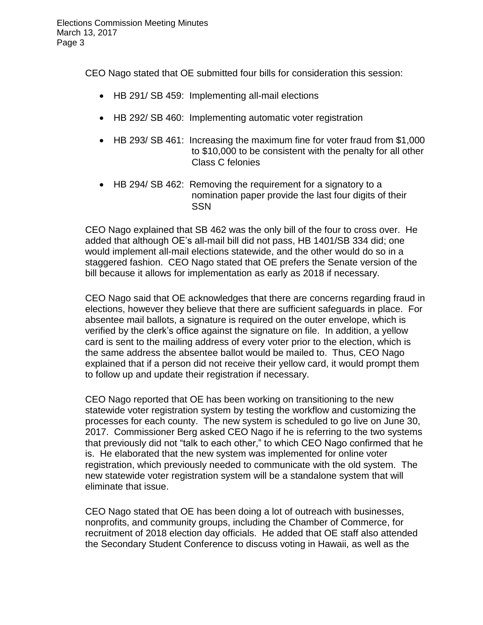CEO Nago stated that OE submitted four bills for consideration this session:

- HB 291/ SB 459: Implementing all-mail elections
- HB 292/ SB 460: Implementing automatic voter registration
- HB 293/ SB 461: Increasing the maximum fine for voter fraud from \$1,000 to \$10,000 to be consistent with the penalty for all other Class C felonies
- HB 294/ SB 462: Removing the requirement for a signatory to a nomination paper provide the last four digits of their SSN

CEO Nago explained that SB 462 was the only bill of the four to cross over. He added that although OE's all-mail bill did not pass, HB 1401/SB 334 did; one would implement all-mail elections statewide, and the other would do so in a staggered fashion. CEO Nago stated that OE prefers the Senate version of the bill because it allows for implementation as early as 2018 if necessary.

CEO Nago said that OE acknowledges that there are concerns regarding fraud in elections, however they believe that there are sufficient safeguards in place. For absentee mail ballots, a signature is required on the outer envelope, which is verified by the clerk's office against the signature on file. In addition, a yellow card is sent to the mailing address of every voter prior to the election, which is the same address the absentee ballot would be mailed to. Thus, CEO Nago explained that if a person did not receive their yellow card, it would prompt them to follow up and update their registration if necessary.

CEO Nago reported that OE has been working on transitioning to the new statewide voter registration system by testing the workflow and customizing the processes for each county. The new system is scheduled to go live on June 30, 2017. Commissioner Berg asked CEO Nago if he is referring to the two systems that previously did not "talk to each other," to which CEO Nago confirmed that he is. He elaborated that the new system was implemented for online voter registration, which previously needed to communicate with the old system. The new statewide voter registration system will be a standalone system that will eliminate that issue.

CEO Nago stated that OE has been doing a lot of outreach with businesses, nonprofits, and community groups, including the Chamber of Commerce, for recruitment of 2018 election day officials. He added that OE staff also attended the Secondary Student Conference to discuss voting in Hawaii, as well as the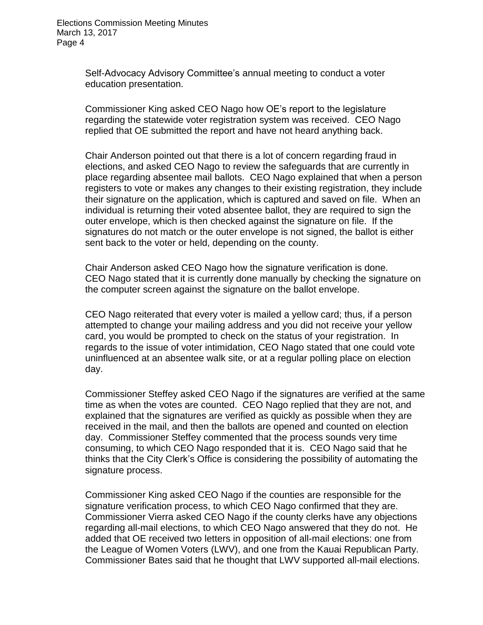Self-Advocacy Advisory Committee's annual meeting to conduct a voter education presentation.

Commissioner King asked CEO Nago how OE's report to the legislature regarding the statewide voter registration system was received. CEO Nago replied that OE submitted the report and have not heard anything back.

Chair Anderson pointed out that there is a lot of concern regarding fraud in elections, and asked CEO Nago to review the safeguards that are currently in place regarding absentee mail ballots. CEO Nago explained that when a person registers to vote or makes any changes to their existing registration, they include their signature on the application, which is captured and saved on file. When an individual is returning their voted absentee ballot, they are required to sign the outer envelope, which is then checked against the signature on file. If the signatures do not match or the outer envelope is not signed, the ballot is either sent back to the voter or held, depending on the county.

Chair Anderson asked CEO Nago how the signature verification is done. CEO Nago stated that it is currently done manually by checking the signature on the computer screen against the signature on the ballot envelope.

CEO Nago reiterated that every voter is mailed a yellow card; thus, if a person attempted to change your mailing address and you did not receive your yellow card, you would be prompted to check on the status of your registration. In regards to the issue of voter intimidation, CEO Nago stated that one could vote uninfluenced at an absentee walk site, or at a regular polling place on election day.

Commissioner Steffey asked CEO Nago if the signatures are verified at the same time as when the votes are counted. CEO Nago replied that they are not, and explained that the signatures are verified as quickly as possible when they are received in the mail, and then the ballots are opened and counted on election day. Commissioner Steffey commented that the process sounds very time consuming, to which CEO Nago responded that it is. CEO Nago said that he thinks that the City Clerk's Office is considering the possibility of automating the signature process.

Commissioner King asked CEO Nago if the counties are responsible for the signature verification process, to which CEO Nago confirmed that they are. Commissioner Vierra asked CEO Nago if the county clerks have any objections regarding all-mail elections, to which CEO Nago answered that they do not. He added that OE received two letters in opposition of all-mail elections: one from the League of Women Voters (LWV), and one from the Kauai Republican Party. Commissioner Bates said that he thought that LWV supported all-mail elections.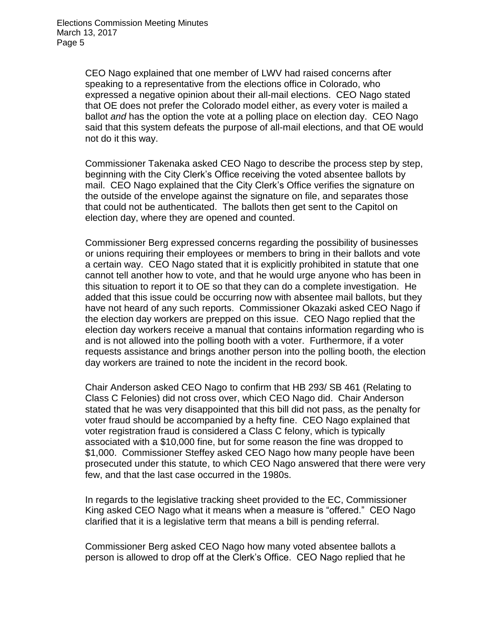CEO Nago explained that one member of LWV had raised concerns after speaking to a representative from the elections office in Colorado, who expressed a negative opinion about their all-mail elections. CEO Nago stated that OE does not prefer the Colorado model either, as every voter is mailed a ballot *and* has the option the vote at a polling place on election day. CEO Nago said that this system defeats the purpose of all-mail elections, and that OE would not do it this way.

Commissioner Takenaka asked CEO Nago to describe the process step by step, beginning with the City Clerk's Office receiving the voted absentee ballots by mail. CEO Nago explained that the City Clerk's Office verifies the signature on the outside of the envelope against the signature on file, and separates those that could not be authenticated. The ballots then get sent to the Capitol on election day, where they are opened and counted.

Commissioner Berg expressed concerns regarding the possibility of businesses or unions requiring their employees or members to bring in their ballots and vote a certain way. CEO Nago stated that it is explicitly prohibited in statute that one cannot tell another how to vote, and that he would urge anyone who has been in this situation to report it to OE so that they can do a complete investigation. He added that this issue could be occurring now with absentee mail ballots, but they have not heard of any such reports. Commissioner Okazaki asked CEO Nago if the election day workers are prepped on this issue. CEO Nago replied that the election day workers receive a manual that contains information regarding who is and is not allowed into the polling booth with a voter. Furthermore, if a voter requests assistance and brings another person into the polling booth, the election day workers are trained to note the incident in the record book.

Chair Anderson asked CEO Nago to confirm that HB 293/ SB 461 (Relating to Class C Felonies) did not cross over, which CEO Nago did. Chair Anderson stated that he was very disappointed that this bill did not pass, as the penalty for voter fraud should be accompanied by a hefty fine. CEO Nago explained that voter registration fraud is considered a Class C felony, which is typically associated with a \$10,000 fine, but for some reason the fine was dropped to \$1,000. Commissioner Steffey asked CEO Nago how many people have been prosecuted under this statute, to which CEO Nago answered that there were very few, and that the last case occurred in the 1980s.

In regards to the legislative tracking sheet provided to the EC, Commissioner King asked CEO Nago what it means when a measure is "offered." CEO Nago clarified that it is a legislative term that means a bill is pending referral.

Commissioner Berg asked CEO Nago how many voted absentee ballots a person is allowed to drop off at the Clerk's Office. CEO Nago replied that he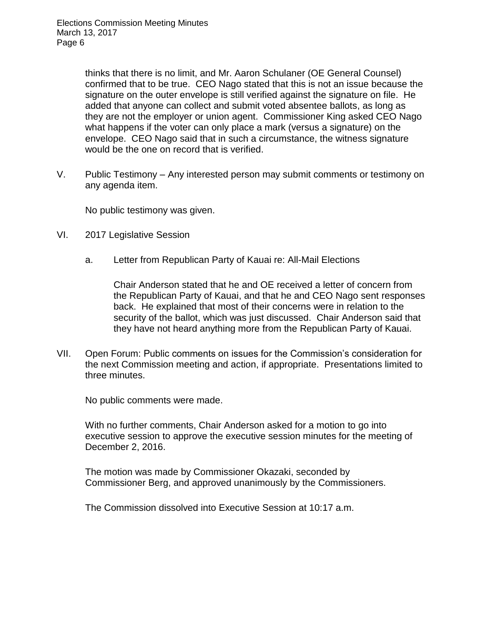thinks that there is no limit, and Mr. Aaron Schulaner (OE General Counsel) confirmed that to be true. CEO Nago stated that this is not an issue because the signature on the outer envelope is still verified against the signature on file. He added that anyone can collect and submit voted absentee ballots, as long as they are not the employer or union agent. Commissioner King asked CEO Nago what happens if the voter can only place a mark (versus a signature) on the envelope. CEO Nago said that in such a circumstance, the witness signature would be the one on record that is verified.

V. Public Testimony – Any interested person may submit comments or testimony on any agenda item.

No public testimony was given.

- VI. 2017 Legislative Session
	- a. Letter from Republican Party of Kauai re: All-Mail Elections

Chair Anderson stated that he and OE received a letter of concern from the Republican Party of Kauai, and that he and CEO Nago sent responses back. He explained that most of their concerns were in relation to the security of the ballot, which was just discussed. Chair Anderson said that they have not heard anything more from the Republican Party of Kauai.

VII. Open Forum: Public comments on issues for the Commission's consideration for the next Commission meeting and action, if appropriate. Presentations limited to three minutes.

No public comments were made.

With no further comments, Chair Anderson asked for a motion to go into executive session to approve the executive session minutes for the meeting of December 2, 2016.

The motion was made by Commissioner Okazaki, seconded by Commissioner Berg, and approved unanimously by the Commissioners.

The Commission dissolved into Executive Session at 10:17 a.m.